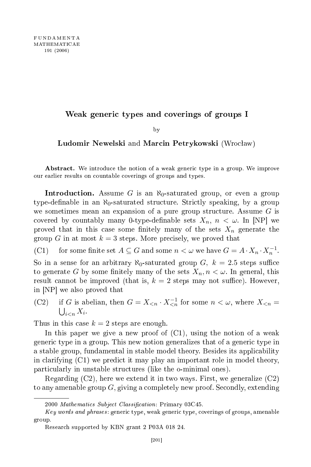## Weak generi types and overings of groups <sup>I</sup>

by  $\overline{\phantom{a}}$ 

Ludomir Newelski and Marcin Petrykowski (Wrocław)

Abstract. We introduce the notion of a weak generic type in a group. We improve our earlier results on ountable overings of groups and types.

Introduction. Assume G is an  $\aleph_0$ -saturated group, or even a group type-definable in an N<sub>0</sub>-saturated structure. Strictly speaking, by a group we sometimes mean an expansion of a pure group structure. Assume  $G$  is covered by countably many 0-type-definable sets  $X_n$ ,  $n < \omega$ . In [NP] we proved that in this case some finitely many of the sets  $X_n$  generate the group G in at most  $k = 3$  steps. More precisely, we proved that

(C1) for some finite set  $A \subseteq G$  and some  $n < \omega$  we have  $G = A \cdot X_n \cdot X_n^{-1}$ .

So in a sense for an arbitrary  $\aleph_0$ -saturated group G,  $k = 2.5$  steps suffice to generate G by some finitely many of the sets  $X_n, n < \omega$ . In general, this result cannot be improved (that is,  $k = 2$  steps may not suffice). However, in [NP] we also proved that

(C2) if G is abelian, then  $G = X_{\leq n} \cdot X_{\leq n}^{-1}$  for some  $n \leq \omega$ , where  $X_{\leq n} =$  $\bigcup_{i.$ 

Thus in this case  $k = 2$  steps are enough.

In this paper we give a new proof of  $(C1)$ , using the notion of a weak generi type in a group. This new notion generalizes that of a generi type in a stable group, fundamental in stable model theory. Besides its appli
ability in clarifying  $(C1)$  we predict it may play an important role in model theory, parti
ularly in unstable stru
tures (like the o-minimal ones).

Regarding (C2), here we extend it in two ways. First, we generalize (C2) to any amenable group  $G$ , giving a completely new proof. Secondly, extending

<sup>2000</sup> Mathematics Subject Classification: Primary 03C45.

Key words and phrases: generic type, weak generic type, coverings of groups, amenable group.

Resear
h supported by KBN grant 2 P03A 018 24.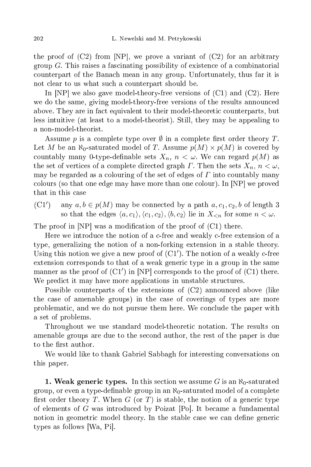the proof of  $(C2)$  from [NP], we prove a variant of  $(C2)$  for an arbitrary group  $G$ . This raises a fascinating possibility of existence of a combinatorial ounterpart of the Bana
h mean in any group. Unfortunately, thus far it is not lear to us what su
h a ounterpart should be.

In  $[NP]$  we also gave model-theory-free versions of  $(C1)$  and  $(C2)$ . Here we do the same, giving model-theory-free versions of the results announ
ed above. They are in fact equivalent to their model-theoretic counterparts, but less intuitive (at least to a model-theorist). Still, they may be appealing to a non-model-theorist.

Assume p is a complete type over  $\emptyset$  in a complete first order theory T. Let M be an  $\aleph_0$ -saturated model of T. Assume  $p(M) \times p(M)$  is covered by countably many 0-type-definable sets  $X_n$ ,  $n < \omega$ . We can regard  $p(M)$  as the set of vertices of a complete directed graph  $\Gamma$ . Then the sets  $X_n$ ,  $n < \omega$ , may be regarded as a colouring of the set of edges of  $\Gamma$  into countably many colours (so that one edge may have more than one colour). In  $[NP]$  we proved that in this ase

(C1 ′ any  $a, b \in p(M)$  may be connected by a path  $a, c_1, c_2, b$  of length 3 so that the edges  $\langle a, c_1 \rangle, \langle c_1, c_2 \rangle, \langle b, c_2 \rangle$  lie in  $X_{\leq n}$  for some  $n < \omega$ .

The proof in  $[NP]$  was a modification of the proof of  $(C1)$  there.

Here we introdu
e the notion of a -free and weakly -free extension of a type, generalizing the notion of a non-forking extension in a stable theory. Using this notion we give a new proof of  $(C1')$ . The notion of a weakly c-free extension orresponds to that of a weak generi type in a group in the same manner as the proof of  $(C1')$  in [NP] corresponds to the proof of  $(C1)$  there. We predict it may have more applications in unstable structures.

Possible counterparts of the extensions of  $(C2)$  announced above (like the case of amenable groups) in the case of coverings of types are more problemati
, and we do not pursue them here. We on
lude the paper with a set of problems.

Throughout we use standard model-theoretic notation. The results on amenable groups are due to the se
ond author, the rest of the paper is due to the first author.

We would like to thank Gabriel Sabbagh for interesting onversations on this paper.

**1. Weak generic types.** In this section we assume  $G$  is an  $\aleph_0$ -saturated group, or even a type-definable group in an  $\aleph_0$ -saturated model of a complete first order theory T. When G (or T) is stable, the notion of a generic type of elements of G was introduced by Poizat  $[P_0]$ . It became a fundamental notion in geometric model theory. In the stable case we can define generic types as follows [Wa, Pi].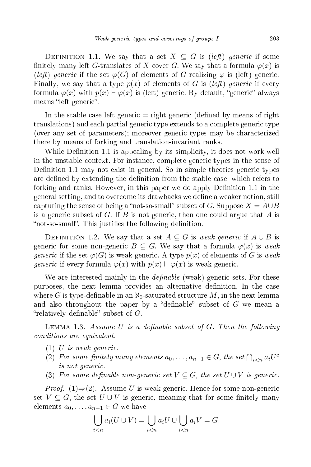DEFINITION 1.1. We say that a set  $X \subseteq G$  is (left) generic if some finitely many left G-translates of X cover G. We say that a formula  $\varphi(x)$  is (left) generic if the set  $\varphi(G)$  of elements of G realizing  $\varphi$  is (left) generic. Finally, we say that a type  $p(x)$  of elements of G is (left) generic if every formula  $\varphi(x)$  with  $p(x) \vdash \varphi(x)$  is (left) generic. By default, "generic" always means "left generic".

In the stable case left generic  $=$  right generic (defined by means of right translations) and each partial generic type extends to a complete generic type (over any set of parameters); moreover generi types may be hara
terized there by means of forking and translation-invariant ranks.

While Definition 1.1 is appealing by its simplicity, it does not work well in the unstable ontext. For instan
e, omplete generi types in the sense of Definition 1.1 may not exist in general. So in simple theories generic types are defined by extending the definition from the stable case, which refers to forking and ranks. However, in this paper we do apply Definition 1.1 in the general setting, and to over
ome its drawba
ks we dene a weaker notion, still capturing the sense of being a "not-so-small" subset of G. Suppose  $X = A \cup B$ is a generic subset of G. If B is not generic, then one could argue that A is "not-so-small". This justifies the following definition.

DEFINITION 1.2. We say that a set  $A \subseteq G$  is weak generic if  $A \cup B$  is generic for some non-generic  $B \subseteq G$ . We say that a formula  $\varphi(x)$  is weak generic if the set  $\varphi(G)$  is weak generic. A type  $p(x)$  of elements of G is weak *generic* if every formula  $\varphi(x)$  with  $p(x) \vdash \varphi(x)$  is weak generic.

We are interested mainly in the  $definable$  (weak) generic sets. For these purposes, the next lemma provides an alternative definition. In the case where G is type-definable in an  $\aleph_0$ -saturated structure M, in the next lemma and also throughout the paper by a "definable" subset of  $G$  we mean a "relatively definable" subset of  $G$ .

LEMMA 1.3. Assume U is a definable subset of G. Then the following onditions are equivalent.

- $(1)$  U is weak generic.
- (2) For some finitely many elements  $a_0, \ldots, a_{n-1} \in G$ , the set  $\bigcap_{i \leq n} a_i U^c$ is not generi
.
- (3) For some definable non-generic set  $V \subseteq G$ , the set  $U \cup V$  is generic.

*Proof.* (1)⇒(2). Assume U is weak generic. Hence for some non-generic set  $V \subseteq G$ , the set  $U \cup V$  is generic, meaning that for some finitely many elements  $a_0, \ldots, a_{n-1} \in G$  we have

$$
\bigcup_{i
$$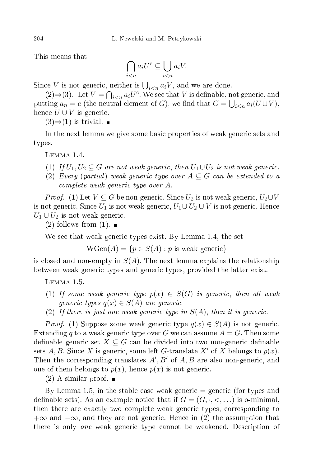This means that

$$
\bigcap_{i
$$

Since V is not generic, neither is  $\bigcup_{i \leq n} a_i V$ , and we are done.

(2)⇒(3). Let  $V = \bigcap_{i \le n} a_i U^c$ . We see that V is definable, not generic, and putting  $a_n = e$  (the neutral element of G), we find that  $G = \bigcup_{i \leq n} a_i(U \cup V)$ , hence  $U \cup V$  is generic.

 $(3) \Rightarrow (1)$  is trivial.

In the next lemma we give some basic properties of weak generic sets and types.

Lemma 1.4.

- (1) If  $U_1, U_2 \subseteq G$  are not weak generic, then  $U_1 \cup U_2$  is not weak generic.
- (2) Every (partial) weak generic type over  $A \subseteq G$  can be extended to a omplete weak generi type over A.

*Proof.* (1) Let  $V \subseteq G$  be non-generic. Since  $U_2$  is not weak generic,  $U_2 \cup V$ is not generic. Since  $U_1$  is not weak generic,  $U_1 \cup U_2 \cup V$  is not generic. Hence  $U_1 \cup U_2$  is not weak generic.

 $(2)$  follows from  $(1)$ .

We see that weak generic types exist. By Lemma 1.4, the set

 $WGen(A) = \{p \in S(A) : p \text{ is weak generic}\}\$ 

is closed and non-empty in  $S(A)$ . The next lemma explains the relationship between weak generic types and generic types, provided the latter exist.

Lemma 1.5.

- (1) If some weak generic type  $p(x) \in S(G)$  is generic, then all weak generic types  $q(x) \in S(A)$  are generic.
- (2) If there is just one weak generic type in  $S(A)$ , then it is generic.

*Proof.* (1) Suppose some weak generic type  $q(x) \in S(A)$  is not generic. Extending q to a weak generic type over G we can assume  $A = G$ . Then some definable generic set  $X \subseteq G$  can be divided into two non-generic definable sets A, B. Since X is generic, some left G-translate X' of X belongs to  $p(x)$ . Then the corresponding translates  $A', B'$  of  $A, B$  are also non-generic, and one of them belongs to  $p(x)$ , hence  $p(x)$  is not generic.

 $(2)$  A similar proof.  $\blacksquare$ 

By Lemma 1.5, in the stable case weak generic  $=$  generic (for types and definable sets). As an example notice that if  $G = (G, \cdot, <, \ldots)$  is o-minimal, then there are exactly two complete weak generic types, corresponding to  $+\infty$  and  $-\infty$ , and they are not generic. Hence in (2) the assumption that there is only one weak generic type cannot be weakened. Description of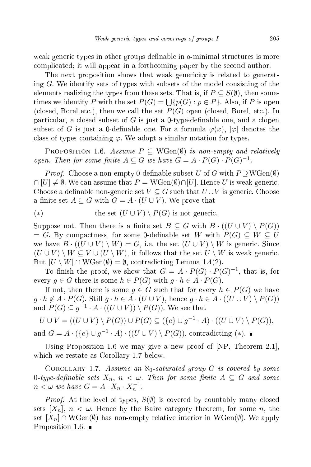weak generic types in other groups definable in o-minimal structures is more ompli
ated; it will appear in a forth
oming paper by the se
ond author.

The next proposition shows that weak genericity is related to generating  $G$ . We identify sets of types with subsets of the model consisting of the elements realizing the types from these sets. That is, if  $P \subseteq S(\emptyset)$ , then sometimes we identify  $P$  with the set  $P(G) = \bigcup \{p(G) : p \in P\}$ . Also, if  $P$  is open (closed, Borel etc.), then we call the set  $P(G)$  open (closed, Borel, etc.). In particular, a closed subset of  $G$  is just a 0-type-definable one, and a clopen subset of G is just a 0-definable one. For a formula  $\varphi(x)$ ,  $[\varphi]$  denotes the class of types containing  $\varphi$ . We adopt a similar notation for types.

PROPOSITION 1.6. Assume  $P \subseteq WGen(\emptyset)$  is non-empty and relatively open. Then for some finite  $A \subseteq G$  we have  $G = A \cdot P(G) \cdot P(G)^{-1}$ .

*Proof.* Choose a non-empty 0-definable subset U of G with  $P \supseteq WGen(\emptyset)$  $\cap [U] \neq \emptyset$ . We can assume that  $P = WGen(\emptyset) \cap [U]$ . Hence U is weak generic. Choose a definable non-generic set  $V \subseteq G$  such that  $U \cup V$  is generic. Choose a finite set  $A \subseteq G$  with  $G = A \cdot (U \cup V)$ . We prove that

(\*) the set 
$$
(U \cup V) \setminus P(G)
$$
 is not generic.

Suppose not. Then there is a finite set  $B \subseteq G$  with  $B \cdot ((U \cup V) \setminus P(G))$  $= G$ . By compactness, for some 0-definable set W with  $P(G) \subseteq W \subseteq U$ we have  $B \cdot ((U \cup V) \setminus W) = G$ , i.e. the set  $(U \cup V) \setminus W$  is generic. Since  $(U \cup V) \setminus W \subseteq V \cup (U \setminus W)$ , it follows that the set  $U \setminus W$  is weak generic. But  $[U \setminus W] \cap WGen(\emptyset) = \emptyset$ , contradicting Lemma 1.4(2).

To finish the proof, we show that  $G = A \cdot P(G) \cdot P(G)^{-1}$ , that is, for every  $g \in G$  there is some  $h \in P(G)$  with  $g \cdot h \in A \cdot P(G)$ .

If not, then there is some  $g \in G$  such that for every  $h \in P(G)$  we have  $g \cdot h \notin A \cdot P(G)$ . Still  $g \cdot h \in A \cdot (U \cup V)$ , hence  $g \cdot h \in A \cdot ((U \cup V) \setminus P(G))$ and  $P(G) \subseteq g^{-1} \cdot A \cdot ((U \cup V)) \setminus P(G)$ ). We see that

 $U \cup V = ((U \cup V) \setminus P(G)) \cup P(G) \subseteq (\{e\} \cup g^{-1} \cdot A) \cdot ((U \cup V) \setminus P(G)),$ and  $G = A \cdot (\{e\} \cup g^{-1} \cdot A) \cdot ((U \cup V) \setminus P(G))$ , contradicting (\*).

Using Proposition 1.6 we may give a new proof of  $[NP, Theorem 2.1],$ whi
h we restate as Corollary 1.7 below.

COROLLARY 1.7. Assume an  $\aleph_0$ -saturated group G is covered by some 0-type-definable sets  $X_n$ ,  $n < \omega$ . Then for some finite  $A \subseteq G$  and some  $n < \omega$  we have  $G = A \cdot X_n \cdot X_n^{-1}$ .

*Proof.* At the level of types,  $S(\emptyset)$  is covered by countably many closed sets  $[X_n]$ ,  $n < \omega$ . Hence by the Baire category theorem, for some n, the set  $[X_n] \cap WGen(\emptyset)$  has non-empty relative interior in WGen $(\emptyset)$ . We apply Proposition 1.6.  $\blacksquare$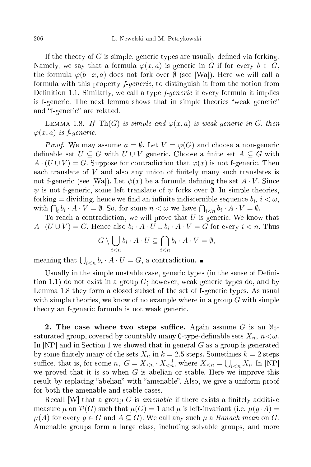If the theory of G is simple, generic types are usually defined via forking. Namely, we say that a formula  $\varphi(x, a)$  is generic in G if for every  $b \in G$ , the formula  $\varphi(b \cdot x, a)$  does not fork over  $\emptyset$  (see [Wa]). Here we will call a formula with this property *f-generic*, to distinguish it from the notion from Definition 1.1. Similarly, we call a type *f-generic* if every formula it implies is f-generic. The next lemma shows that in simple theories "weak generic" and "f-generic" are related.

LEMMA 1.8. If Th(G) is simple and  $\varphi(x,a)$  is weak generic in G, then  $\varphi(x,a)$  is *f*-generic.

*Proof.* We may assume  $a = \emptyset$ . Let  $V = \varphi(G)$  and choose a non-generic definable set  $U \subseteq G$  with  $U \cup V$  generic. Choose a finite set  $A \subseteq G$  with  $A \cdot (U \cup V) = G$ . Suppose for contradiction that  $\varphi(x)$  is not f-generic. Then each translate of  $V$  and also any union of finitely many such translates is not f-generic (see [Wa]). Let  $\psi(x)$  be a formula defining the set  $A \cdot V$ . Since  $\psi$  is not f-generic, some left translate of  $\psi$  forks over  $\emptyset$ . In simple theories, forking = dividing, hence we find an infinite indiscernible sequence  $b_i, \, i < \omega,$ with  $\bigcap_i b_i \cdot A \cdot V = \emptyset$ . So, for some  $n < \omega$  we have  $\bigcap_{i < n} b_i \cdot A \cdot V = \emptyset$ .

To reach a contradiction, we will prove that  $U$  is generic. We know that  $A \cdot (U \cup V) = G$ . Hence also  $b_i \cdot A \cdot U \cup b_i \cdot A \cdot V = G$  for every  $i < n$ . Thus

$$
G \setminus \bigcup_{i < n} b_i \cdot A \cdot U \subseteq \bigcap_{i < n} b_i \cdot A \cdot V = \emptyset,
$$

meaning that  $\bigcup_{i \leq n} b_i \cdot A \cdot U = G$ , a contradiction.

Usually in the simple unstable case, generic types (in the sense of Definition 1.1) do not exist in a group  $G$ ; however, weak generic types do, and by Lemma 1.8 they form a closed subset of the set of f-generic types. As usual with simple theories, we know of no example where in a group  $G$  with simple theory an f-generic formula is not weak generic.

2. The case where two steps suffice. Again assume  $G$  is an  $\aleph_0$ saturated group, covered by countably many 0-type-definable sets  $X_n$ ,  $n < \omega$ . In  $[NP]$  and in Section 1 we showed that in general G as a group is generated by some finitely many of the sets  $X_n$  in  $k = 2.5$  steps. Sometimes  $k = 2$  steps suffice, that is, for some n,  $G = X_{\leq n} \cdot X_{\leq n}^{-1}$ , where  $X_{\leq n} = \bigcup_{i \leq n} X_i$ . In [NP] we proved that it is so when  $G$  is abelian or stable. Here we improve this result by replacing "abelian" with "amenable". Also, we give a uniform proof for both the amenable and stable cases.

Recall  $|W|$  that a group G is amenable if there exists a finitely additive measure  $\mu$  on  $\mathcal{P}(G)$  such that  $\mu(G) = 1$  and  $\mu$  is left-invariant (i.e.  $\mu(g \cdot A) =$  $\mu(A)$  for every  $q \in G$  and  $A \subseteq G$ . We call any such  $\mu$  a *Banach mean* on G. Amenable groups form a large class, including solvable groups, and more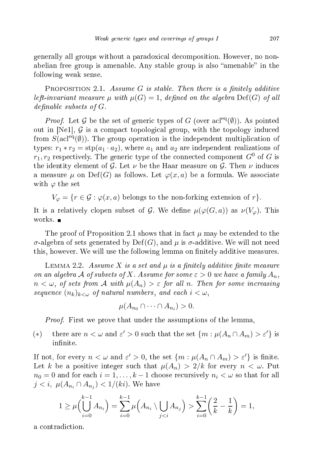generally all groups without a paradoxi
al de
omposition. However, no nonabelian free group is amenable. Any stable group is also "amenable" in the following weak sense.

PROPOSITION 2.1. Assume G is stable. Then there is a finitely additive left-invariant measure  $\mu$  with  $\mu(G) = 1$ , defined on the algebra  $\mathrm{Def}(G)$  of all definable subsets of  $G$ .

*Proof.* Let G be the set of generic types of G (over  $\text{acl}^{eq}(\emptyset)$ ). As pointed out in [Ne1],  $G$  is a compact topological group, with the topology induced from  $S(\text{acl}^{eq}(\emptyset))$ . The group operation is the independent multiplication of types:  $r_1 * r_2 = \text{stp}(a_1 \cdot a_2)$ , where  $a_1$  and  $a_2$  are independent realizations of  $r_1, r_2$  respectively. The generic type of the connected component  $G^0$  of G is the identity element of G. Let  $\nu$  be the Haar measure on G. Then  $\nu$  induces a measure  $\mu$  on Def(G) as follows. Let  $\varphi(x,a)$  be a formula. We associate with  $\varphi$  the set

 $V_{\varphi} = \{r \in \mathcal{G} : \varphi(x, a) \text{ belongs to the non-forking extension of } r\}.$ 

It is a relatively clopen subset of G. We define  $\mu(\varphi(G, a))$  as  $\nu(V_{\varphi})$ . This

The proof of Proposition 2.1 shows that in fact  $\mu$  may be extended to the σ-algebra of sets generated by Def(G), and  $\mu$  is σ-additive. We will not need this, however. We will use the following lemma on finitely additive measures.

LEMMA 2.2. Assume X is a set and  $\mu$  is a finitely additive finite measure on an algebra A of subsets of X. Assume for some  $\varepsilon > 0$  we have a family  $A_n$ ,  $n < \omega$ , of sets from A with  $\mu(A_n) > \varepsilon$  for all n. Then for some increasing sequence  $(n_k)_{k\leq \omega}$  of natural numbers, and each  $i < \omega$ ,

 $\mu(A_{n_0}\cap\cdots\cap A_{n_i})>0.$ 

*Proof.* First we prove that under the assumptions of the lemma,

(\*) there are  $n < \omega$  and  $\varepsilon' > 0$  such that the set  $\{m : \mu(A_n \cap A_m) > \varepsilon'\}$  is infinite.

If not, for every  $n < \omega$  and  $\varepsilon' > 0$ , the set  $\{m : \mu(A_n \cap A_m) > \varepsilon'\}$  is finite. Let k be a positive integer such that  $\mu(A_n) > 2/k$  for every  $n < \omega$ . Put  $n_0 = 0$  and for each  $i = 1, ..., k - 1$  choose recursively  $n_i < \omega$  so that for all  $j < i, \; \mu(A_{n_i} \cap A_{n_j}) < 1/(ki)$ . We have

$$
1 \ge \mu\left(\bigcup_{i=0}^{k-1} A_{n_i}\right) = \sum_{i=0}^{k-1} \mu\left(A_{n_i} \setminus \bigcup_{j \sum_{i=0}^{k-1} \left(\frac{2}{k} - \frac{1}{k}\right) = 1,
$$

a ontradi
tion.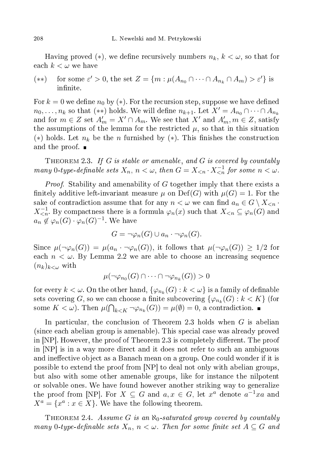Having proved  $(*)$ , we define recursively numbers  $n_k, k < \omega$ , so that for each  $k < \omega$  we have

(\*\*) for some  $\varepsilon' > 0$ , the set  $Z = \{m : \mu(A_{n_0} \cap \cdots \cap A_{n_k} \cap A_m) > \varepsilon'\}$  is infinite.

For  $k = 0$  we define  $n_0$  by (\*). For the recursion step, suppose we have defined  $n_0, \ldots, n_k$  so that (\*\*) holds. We will define  $n_{k+1}$ . Let  $X' = A_{n_0} \cap \cdots \cap A_{n_k}$ and for  $m \in Z$  set  $A'_m = X' \cap A_m$ . We see that  $X'$  and  $A'_m, m \in Z$ , satisfy the assumptions of the lemma for the restricted  $\mu$ , so that in this situation (\*) holds. Let  $n_k$  be the n furnished by (\*). This finishes the construction and the proof.  $\blacksquare$ 

THEOREM 2.3. If  $G$  is stable or amenable, and  $G$  is covered by countably many 0-type-definable sets  $X_n$ ,  $n < \omega$ , then  $G = X_{\leq n} \cdot X_{\leq n}^{-1}$  for some  $n < \omega$ .

*Proof.* Stability and amenability of G together imply that there exists a finitely additive left-invariant measure  $\mu$  on  $\mathrm{Def}(G)$  with  $\mu(G) = 1$ . For the sake of contradiction assume that for any  $n < \omega$  we can find  $a_n \in G \setminus X_{\leq n}$ .  $X_{\leq n}^{-1}$ . By compactness there is a formula  $\varphi_n(x)$  such that  $X_{\leq n} \subseteq \varphi_n(G)$  and  $a_n \notin \varphi_n(G) \cdot \varphi_n(G)^{-1}$ . We have

$$
G = \neg \varphi_n(G) \cup a_n \cdot \neg \varphi_n(G).
$$

Since  $\mu(\neg \varphi_n(G)) = \mu(a_n \cdot \neg \varphi_n(G))$ , it follows that  $\mu(\neg \varphi_n(G)) \geq 1/2$  for each  $n < \omega$ . By Lemma 2.2 we are able to choose an increasing sequence  $(n_k)_{k<\omega}$  with

$$
\mu(\neg\varphi_{n_0}(G)\cap\cdots\cap\neg\varphi_{n_k}(G))>0
$$

for every  $k < \omega$ . On the other hand,  $\{\varphi_{n_k}(G): k < \omega\}$  is a family of definable sets covering  $G,$  so we can choose a finite subcovering  $\{\varphi_{n_k}(G): k < K\}$  (for some  $K < \omega$ ). Then  $\mu(\bigcap_{k \leq K} \neg \varphi_{n_k}(G)) = \mu(\emptyset) = 0$ , a contradiction.

In particular, the conclusion of Theorem 2.3 holds when  $G$  is abelian (sin
e ea
h abelian group is amenable). This spe
ial ase was already proved in  $[NP]$ . However, the proof of Theorem 2.3 is completely different. The proof in |NP| is in a way more direct and it does not refer to such an ambiguous and ineffective object as a Banach mean on a group. One could wonder if it is possible to extend the proof from  $[NP]$  to deal not only with abelian groups, but also with some other amenable groups, like for instan
e the nilpotent or solvable ones. We have found however another striking way to generalize the proof from [NP]. For  $X \subseteq G$  and  $a, x \in G$ , let  $x^a$  denote  $a^{-1}xa$  and  $X^a = \{x^a : x \in X\}.$  We have the following theorem.

THEOREM 2.4. Assume G is an  $\aleph_0$ -saturated group covered by countably many 0-type-definable sets  $X_n$ ,  $n < \omega$ . Then for some finite set  $A \subseteq G$  and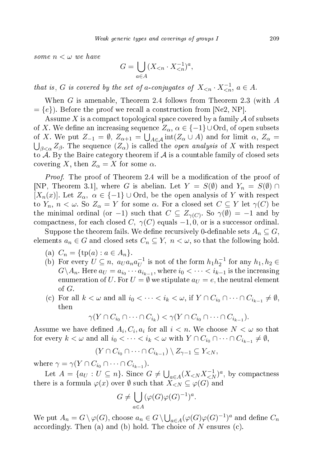some  $n < \omega$  we have

$$
G = \bigcup_{a \in A} (X_{\leq n} \cdot X_{\leq n}^{-1})^a,
$$

that is, G is covered by the set of a-conjugates of  $X_{\leq n} \cdot X_{\leq n}^{-1}$ ,  $a \in A$ .

When G is amenable, Theorem 2.4 follows from Theorem 2.3 (with A  $= \{e\}$ ). Before the proof we recall a construction from [Ne2, NP].

Assume X is a compact topological space covered by a family  ${\cal A}$  of subsets of X. We define an increasing sequence  $Z_{\alpha}$ ,  $\alpha \in \{-1\} \cup \text{Ord}$ , of open subsets of X. We put  $Z_{-1} = \emptyset$ ,  $Z_{\alpha+1} = \bigcup$ of X. We put  $Z_{-1} = \emptyset$ ,  $Z_{\alpha+1} = \bigcup_{A \in \mathcal{A}} \text{int}(Z_{\alpha} \cup A)$  and for limit  $\alpha$ ,  $Z_{\alpha} = \bigcup_{\beta < \alpha} Z_{\beta}$ . The sequence  $(Z_{\alpha})$  is called the *open analysis* of X with respect to  ${\mathcal A}$ . By the Baire category theorem if  ${\mathcal A}$  is a countable family of closed sets covering X, then  $Z_{\alpha} = X$  for some  $\alpha$ .

*Proof.* The proof of Theorem 2.4 will be a modification of the proof of [NP, Theorem 3.1], where G is abelian. Let  $Y = S(\emptyset)$  and  $Y_n = S(\emptyset) \cap$  $[X_n(x)]$ . Let  $Z_\alpha$ ,  $\alpha \in \{-1\} \cup \text{Ord}$ , be the open analysis of Y with respect to  $Y_n$ ,  $n < \omega$ . So  $Z_\alpha = Y$  for some  $\alpha$ . For a closed set  $C \subseteq Y$  let  $\gamma(C)$  be the minimal ordinal (or  $-1)$  such that  $C \subseteq Z_{\gamma(C)}.$  So  $\gamma(\emptyset) = -1$  and by compactness, for each closed C,  $\gamma(C)$  equals  $-1, 0$ , or is a successor ordinal.

Suppose the theorem fails. We define recursively 0-definable sets  $A_n\subseteq G,$ elements  $a_n \in G$  and closed sets  $C_n \subseteq Y$ ,  $n < \omega$ , so that the following hold.

- (a)  $C_n = \{ \text{tp}(a) : a \in A_n \}.$
- (b) For every  $U \subseteq n$ ,  $a_U a_n a_U^{-1}$  is not of the form  $h_1 h_2^{-1}$  for any  $h_1, h_2 \in$  $G \backslash A_n$ . Here  $a_U = a_{i_0} \cdots a_{i_{k-1}}$ , where  $i_0 < \cdots < i_{k-1}$  is the increasing enumeration of U. For  $U = \emptyset$  we stipulate  $a_U = e$ , the neutral element of G.
- (c) For all  $k < \omega$  and all  $i_0 < \cdots < i_k < \omega$ , if  $Y \cap C_{i_0} \cap \cdots \cap C_{i_{k-1}} \neq \emptyset$ , then

$$
\gamma(Y \cap C_{i_0} \cap \dots \cap C_{i_k}) < \gamma(Y \cap C_{i_0} \cap \dots \cap C_{i_{k-1}}).
$$

Assume we have defined  $A_i, C_i, a_i$  for all  $i < n$ . We choose  $N < \omega$  so that for every  $k < \omega$  and all  $i_0 < \cdots < i_k < \omega$  with  $Y \cap C_{i_0} \cap \cdots \cap C_{i_{k-1}} \neq \emptyset$ ,

$$
(Y \cap C_{i_0} \cap \dots \cap C_{i_{k-1}}) \setminus Z_{\gamma-1} \subseteq Y_{\leq N},
$$

where  $\gamma = \gamma(Y \cap C_{i_0} \cap \cdots \cap C_{i_{k-1}}).$ 

Let  $A = \{a_U : U \subseteq n\}$ . Since  $G \neq \bigcup_{a \in A} (X_{\leq N} X_{\leq N}^{-1})^a$ , by compactness there is a formula  $\varphi(x)$  over  $\emptyset$  such that  $X_{\leq N} \subseteq \varphi(G)$  and

$$
G \neq \bigcup_{a \in A} (\varphi(G)\varphi(G)^{-1})^a.
$$

We put  $A_n = G \setminus \varphi(G)$ , choose  $a_n \in G \setminus \bigcup_{a \in A} (\varphi(G) \varphi(G)^{-1})^a$  and define  $C_n$ accordingly. Then (a) and (b) hold. The choice of N ensures (c).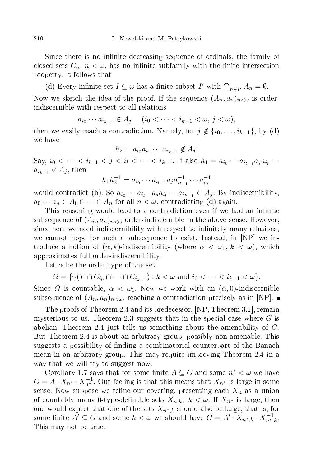Since there is no infinite decreasing sequence of ordinals, the family of closed sets  $C_n$ ,  $n < \omega$ , has no infinite subfamily with the finite intersection property. It follows that

(d) Every infinite set  $I \subseteq \omega$  has a finite subset  $I'$  with  $\bigcap_{n \in I'} A_n = \emptyset$ .

Now we sketch the idea of the proof. If the sequence  $(A_n, a_n)_{n<\omega}$  is orderindis
ernible with respe
t to all relations

$$
a_{i_0} \cdots a_{i_{k-1}} \in A_j
$$
  $(i_0 < \cdots < i_{k-1} < \omega, j < \omega),$ 

then we easily reach a contradiction. Namely, for  $j \notin \{i_0, \ldots, i_{k-1}\}\$ , by (d) we have

$$
h_2 = a_{i_0} a_{i_1} \cdots a_{i_{k-1}} \notin A_j.
$$

Say,  $i_0 < \cdots < i_{l-1} < j < i_l < \cdots < i_{k-1}$ . If also  $h_1 = a_{i_0} \cdots a_{i_{l-1}} a_j a_{i_l} \cdots$  $a_{i_{k-1}} \not\in A_j$ , then

$$
h_1 h_2^{-1} = a_{i_0} \cdots a_{i_{l-1}} a_j a_{i_{l-1}}^{-1} \cdots a_{i_0}^{-1}
$$

would contradict (b). So  $a_{i_0} \cdots a_{i_{l-1}} a_j a_{i_l} \cdots a_{i_{k-1}} \in A_j$ . By indiscernibility,  $a_0 \cdots a_n \in A_0 \cap \cdots \cap A_n$  for all  $n < \omega$ , contradicting (d) again.

This reasoning would lead to a contradiction even if we had an infinite subsequence of  $(A_n, a_n)_{n<\omega}$  order-indiscernible in the above sense. However, since here we need indiscernibility with respect to infinitely many relations, we cannot hope for such a subsequence to exist. Instead, in  $[NP]$  we introduce a notion of  $(\alpha, k)$ -indiscernibility (where  $\alpha < \omega_1, k < \omega$ ), which approximates full order-indis
ernibility.

Let  $\alpha$  be the order type of the set

$$
\Omega = \{ \gamma(Y \cap C_{i_0} \cap \dots \cap C_{i_{k-1}}) : k < \omega \text{ and } i_0 < \dots < i_{k-1} < \omega \}.
$$

Since  $\Omega$  is countable,  $\alpha < \omega_1$ . Now we work with an  $(\alpha, 0)$ -indiscernible subsequence of  $(A_n, a_n)_{n<\omega}$ , reaching a contradiction precisely as in [NP].

The proofs of Theorem 2.4 and its predecessor, [NP, Theorem 3.1], remain mysterious to us. Theorem 2.3 suggests that in the special case where  $G$  is abelian, Theorem 2.4 just tells us something about the amenability of G. But Theorem 2.4 is about an arbitrary group, possibly non-amenable. This suggests a possibility of finding a combinatorial counterpart of the Banach mean in an arbitrary group. This may require improving Theorem 2.4 in a way that we will try to suggest now.

Corollary 1.7 says that for some finite  $A \subseteq G$  and some  $n^* < \omega$  we have  $G = A \cdot X_{n^*} \cdot X_{n^*}^{-1}$ . Our feeling is that this means that  $X_{n^*}$  is large in some sense. Now suppose we refine our covering, presenting each  $X_n$  as a union of countably many 0-type-definable sets  $X_{n,k}$ ,  $k < \omega$ . If  $X_{n^*}$  is large, then one would expect that one of the sets  $X_{n^*,k}$  should also be large, that is, for some finite  $A' \subseteq G$  and some  $k < \omega$  we should have  $G = A' \cdot X_{n^*,k} \cdot X_{n^*,k}^{-1}$ . This may not be true.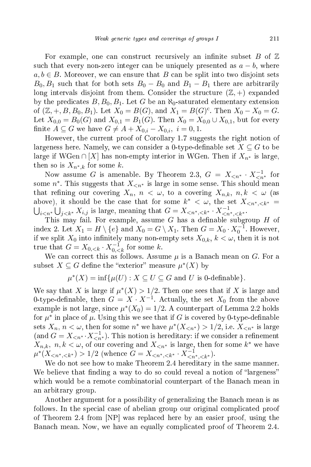For example, one can construct recursively an infinite subset B of  $\mathbb Z$ such that every non-zero integer can be uniquely presented as  $a - b$ , where  $a, b \in B$ . Moreover, we can ensure that B can be split into two disjoint sets  $B_0, B_1$  such that for both sets  $B_0 - B_0$  and  $B_1 - B_1$  there are arbitrarily long intervals disjoint from them. Consider the structure  $(\mathbb{Z}, +)$  expanded by the predicates  $B, B_0, B_1$ . Let G be an  $\aleph_0$ -saturated elementary extension of  $(\mathbb{Z}, +, B, B_0, B_1)$ . Let  $X_0 = B(G)$ , and  $X_1 = B(G)^c$ . Then  $X_0 - X_0 = G$ . Let  $X_{0,0} = B_0(G)$  and  $X_{0,1} = B_1(G)$ . Then  $X_0 = X_{0,0} \cup X_{0,1}$ , but for every finite  $A \subseteq G$  we have  $G \neq A + X_{0,i} - X_{0,i}$ ,  $i = 0, 1$ .

However, the urrent proof of Corollary 1.7 suggests the right notion of largeness here. Namely, we can consider a 0-type-definable set  $X \subseteq G$  to be large if WGen ∩ [X] has non-empty interior in WGen. Then if  $X_{n^*}$  is large, then so is  $X_{n^*,k}$  for some k.

Now assume G is amenable. By Theorem 2.3,  $G = X_{\leq n^*} \cdot X_{\leq n^*}^{-1}$  for some  $n^*$ . This suggests that  $X_{\leq n^*}$  is large in some sense. This should mean that refining our covering  $X_n$ ,  $n < \omega$ , to a covering  $X_{n,k}$ ,  $n, k < \omega$  (as above), it should be the case that for some  $k^* < \omega$ , the set  $X_{\langle n^*, \langle k^* \rangle}$  $\bigcup_{i \leq n^*} \bigcup_{j \leq k^*} X_{i,j}$  is large, meaning that  $G = X_{\leq n^*, \leq k^*} \cdot X_{\leq n^*, \leq k^*}^{-1}$ .

This may fail. For example, assume  $G$  has a definable subgroup  $H$  of index 2. Let  $X_1 = H \setminus \{e\}$  and  $X_0 = G \setminus X_1$ . Then  $G = X_0 \cdot X_0^{-1}$ . However, if we split  $X_0$  into infinitely many non-empty sets  $X_{0,k}$ ,  $k < \omega$ , then it is not true that  $G = X_{0, < k} \cdot X_{0, < k}^{-1}$  for some k.

We can correct this as follows. Assume  $\mu$  is a Banach mean on G. For a subset  $X \subseteq G$  define the "exterior" measure  $\mu^*(X)$  by

 $\mu^*(X) = \inf \{ \mu(U) : X \subseteq U \subseteq G \text{ and } U \text{ is 0-definable} \}.$ 

We say that X is large if  $\mu^*(X) > 1/2$ . Then one sees that if X is large and 0-type-definable, then  $G = X \cdot X^{-1}$ . Actually, the set  $X_0$  from the above example is not large, since  $\mu^*(X_0) = 1/2$ . A counterpart of Lemma 2.2 holds for  $\mu^*$  in place of  $\mu$ . Using this we see that if G is covered by 0-type-definable sets  $X_n$ ,  $n < \omega$ , then for some  $n^*$  we have  $\mu^*(X_{\le n^*}) > 1/2$ , i.e.  $X_{\le n^*}$  is large (and  $G = X_{\leq n^*} \cdot X_{\leq n^*}^{-1}$ ). This notion is hereditary: if we consider a refinement  $X_{n,k}, n, k < \omega$ , of our covering and  $X_{n^*}$  is large, then for some  $k^*$  we have  $\mu^*(X_{n^*,k^*}) > 1/2$  (whence  $G = X_{n^*,k^*} \cdot X_{n^*,k^*}^{-1}$ ).

We do not see how to make Theorem 2.4 hereditary in the same manner. We believe that finding a way to do so could reveal a notion of "largeness" which would be a remote combinatorial counterpart of the Banach mean in an arbitrary group.

Another argument for a possibility of generalizing the Bana
h mean is as follows. In the special case of abelian group our original complicated proof of Theorem 2.4 from  $\text{NP}$  was replaced here by an easier proof, using the Bana
h mean. Now, we have an equally ompli
ated proof of Theorem 2.4.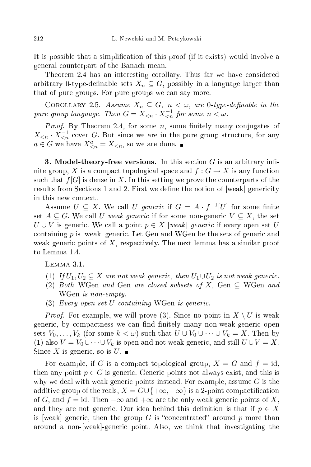It is possible that a simplification of this proof (if it exists) would involve a general ounterpart of the Bana
h mean.

Theorem 2.4 has an interesting corollary. Thus far we have considered arbitrary 0-type-definable sets  $X_n\subseteq G,$  possibly in a language larger than that of pure groups. For pure groups we can say more.

COROLLARY 2.5. Assume  $X_n \subseteq G$ ,  $n < \omega$ , are 0-type-definable in the pure group language. Then  $G = X_{\leq n} \cdot X_{\leq n}^{-1}$  for some  $n < \omega$ .

*Proof.* By Theorem 2.4, for some  $n$ , some finitely many conjugates of  $X_{\leq n} \cdot X_{\leq n}^{-1}$  cover G. But since we are in the pure group structure, for any  $a \in G$  we have  $X_{\leq n}^a = X_{\leq n}$ , so we are done.

3. Model-theory-free versions. In this section  $G$  is an arbitrary infinite group, X is a compact topological space and  $f: G \to X$  is any function such that  $f[G]$  is dense in X. In this setting we prove the counterparts of the results from Sections 1 and 2. First we define the notion of  $[weak]$  genericity in this new ontext.

Assume  $U \subseteq X$ . We call U generic if  $G = A \cdot f^{-1}[U]$  for some finite set  $A \subseteq G$ . We call U weak generic if for some non-generic  $V \subseteq X$ , the set  $U \cup V$  is generic. We call a point  $p \in X$  [weak] generic if every open set U containing  $p$  is weak generic. Let Gen and WGen be the sets of generic and weak generic points of  $X$ , respectively. The next lemma has a similar proof to Lemma 1.4.

Lemma 3.1.

- (1) If  $U_1, U_2 \subseteq X$  are not weak generic, then  $U_1 \cup U_2$  is not weak generic.
- (2) Both WGen and Gen are closed subsets of X, Gen  $\subseteq$  WGen and WGen is non-empty.
- $(3)$  Every open set U containing WGen is generic.

*Proof.* For example, we will prove (3). Since no point in  $X \setminus U$  is weak generic, by compactness we can find finitely many non-weak-generic open sets  $V_0, \ldots, V_k$  (for some  $k < \omega$ ) such that  $U \cup V_0 \cup \cdots \cup V_k = X$ . Then by (1) also  $V = V_0 \cup \cdots \cup V_k$  is open and not weak generic, and still  $U \cup V = X$ . Since X is generic, so is  $U$ .

For example, if G is a compact topological group,  $X = G$  and  $f = id$ , then any point  $p \in G$  is generic. Generic points not always exist, and this is why we deal with weak generic points instead. For example, assume  $G$  is the additive group of the reals,  $X = G \cup \{+\infty, -\infty\}$  is a 2-point compactification of G, and  $f = id$ . Then  $-\infty$  and  $+\infty$  are the only weak generic points of X, and they are not generic. Our idea behind this definition is that if  $p \in X$ is weak generic, then the group G is "concentrated" around p more than around a non-[weak]-generic point. Also, we think that investigating the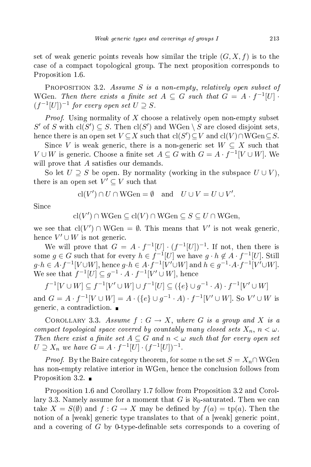set of weak generic points reveals how similar the triple  $(G, X, f)$  is to the ase of a ompa
t topologi
al group. The next proposition orresponds to Proposition 1.6.

PROPOSITION 3.2. Assume S is a non-empty, relatively open subset of WGen. Then there exists a finite set  $A \subseteq G$  such that  $G = A \cdot f^{-1}[U] \cdot$  $(f^{-1}[U])^{-1}$  for every open set  $U \supseteq S$ .

*Proof.* Using normality of X choose a relatively open non-empty subset S' of S with  $\text{cl}(S') \subseteq S$ . Then  $\text{cl}(S')$  and WGen  $\setminus S$  are closed disjoint sets, hence there is an open set  $V\subseteq X$  such that  $\text{cl}(S')\subseteq V$  and  $\text{cl}(V)\cap W\text{Gen}\subseteq S$ .

Since V is weak generic, there is a non-generic set  $W \subseteq X$  such that  $V \cup W$  is generic. Choose a finite set  $A \subseteq G$  with  $G = A \cdot f^{-1}[V \cup W]$ . We will prove that  $A$  satisfies our demands.

So let  $U \supseteq S$  be open. By normality (working in the subspace  $U \cup V$ ), there is an open set  $V' \subseteq V$  such that

$$
\operatorname{cl}(V') \cap U \cap \operatorname{WGen} = \emptyset \quad \text{and} \quad U \cup V = U \cup V'.
$$

Sin
e

 $\operatorname{cl}(V') \cap \operatorname{WGen} \subseteq \operatorname{cl}(V) \cap \operatorname{WGen} \subseteq S \subseteq U \cap \operatorname{WGen},$ 

we see that  $\text{cl}(V') \cap \text{WGen} = \emptyset$ . This means that V' is not weak generic, hence  $V' \cup W$  is not generic.

We will prove that  $G = A \cdot f^{-1}[U] \cdot (f^{-1}[U])^{-1}$ some  $g \in G$  such that for every  $h \in f^{-1}[U]$  we have  $g \cdot h \notin A \cdot f^{-1}[U]$ . Still  $g \cdot h \in A \cdot f^{-1}[V \cup W]$ , hence  $g \cdot h \in A \cdot f^{-1}[V' \cup W]$  and  $h \in g^{-1} \cdot A \cdot f^{-1}[V' \cup W]$ . We see that  $f^{-1}[U] \subseteq g^{-1} \cdot A \cdot f^{-1}[V' \cup W]$ , hence

 $f^{-1}[V \cup W] \subseteq f^{-1}[V' \cup W] \cup f^{-1}[U] \subseteq (\{e\} \cup g^{-1} \cdot A) \cdot f^{-1}[V' \cup W]$ and  $G = A \cdot f^{-1}[V \cup W] = A \cdot (\{e\} \cup g^{-1} \cdot A) \cdot f^{-1}[V' \cup W]$ . So  $V' \cup W$  is generic, a contradiction.  $\blacksquare$ 

COROLLARY 3.3. Assume  $f: G \to X$ , where G is a group and X is a compact topological space covered by countably many closed sets  $X_n$ ,  $n < \omega$ . Then there exist a finite set  $A \subseteq G$  and  $n < \omega$  such that for every open set  $U \supseteq X_n$  we have  $G = A \cdot f^{-1}[U] \cdot (f^{-1}[U])^{-1}$ .

*Proof.* By the Baire category theorem, for some *n* the set  $S = X_n \cap WGen$ has non-empty relative interior in WGen, hence the conclusion follows from Proposition 3.2.  $\blacksquare$ 

Proposition 1.6 and Corollary 1.7 follow from Proposition 3.2 and Corollary 3.3. Namely assume for a moment that G is  $\aleph_0$ -saturated. Then we can take  $X = S(\emptyset)$  and  $f: G \to X$  may be defined by  $f(a) = \text{tp}(a)$ . Then the notion of a weak generic type translates to that of a weak generic point, and a covering of  $G$  by 0-type-definable sets corresponds to a covering of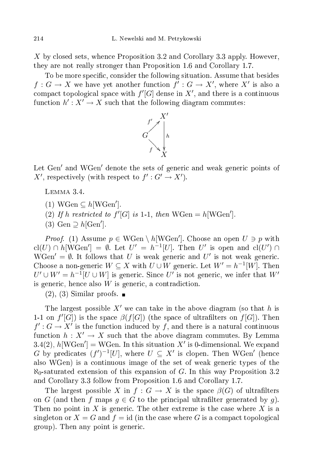X by closed sets, whence Proposition 3.2 and Corollary 3.3 apply. However, they are not really stronger than Proposition 1.6 and Corollary 1.7.

To be more specific, consider the following situation. Assume that besides  $f: G \to X$  we have yet another function  $f': G \to X'$ , where  $X'$  is also a compact topological space with  $f'[G]$  dense in  $X'$ , and there is a continuous function  $h' : X' \to X$  such that the following diagram commutes:



Let Gen' and WGen' denote the sets of generic and weak generic points of X', respectively (with respect to  $f': G' \to X'$ ).

Lemma 3.4.

- (1) WGen  $\subseteq h[\text{WGen}']$ .
- (2) If h restricted to  $f'[G]$  is 1-1, then  $WGen = h[WGen']$ .
- (3) Gen  $\supseteq h[\text{Gen}']$ .

*Proof.* (1) Assume  $p \in WGen \setminus h[WGen']$ . Choose an open  $U \ni p$  with cl(U) ∩ h[WGen'] =  $\emptyset$ . Let  $U' = h^{-1}[U]$ . Then U' is open and cl(U') ∩ WGen' =  $\emptyset$ . It follows that U is weak generic and U' is not weak generic. Choose a non-generic  $W \subseteq X$  with  $U \cup W$  generic. Let  $W' = h^{-1}[W]$ . Then  $U' \cup W' = h^{-1}[U \cup W]$  is generic. Since  $U'$  is not generic, we infer that  $W'$ is generic, hence also  $W$  is generic, a contradiction.

 $(2), (3)$  Similar proofs.

The largest possible  $X'$  we can take in the above diagram (so that h is 1-1 on  $f'[G]$  is the space  $\beta(f[G])$  (the space of ultrafilters on  $f[G])$ . Then  $f': G \to X'$  is the function induced by f, and there is a natural continuous function  $h: X' \to X$  such that the above diagram commutes. By Lemma 3.4(2),  $h[\text{WGen'}] = \text{WGen}$ . In this situation X' is 0-dimensional. We expand G by predicates  $(f')^{-1}[U]$ , where  $U \subseteq X'$  is clopen. Then WGen' (hence also WGen) is a ontinuous image of the set of weak generi types of the  $\aleph_0$ -saturated extension of this expansion of G. In this way Proposition 3.2 and Corollary 3.3 follow from Proposition 1.6 and Corollary 1.7.

The largest possible X in  $f: G \to X$  is the space  $\beta(G)$  of ultrafilters on G (and then f maps  $q \in G$  to the principal ultrafilter generated by q). Then no point in X is generic. The other extreme is the case where X is a singleton or  $X = G$  and  $f = id$  (in the case where G is a compact topological group). Then any point is generi
.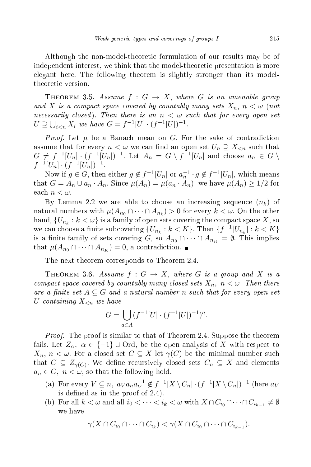Although the non-model-theoreti formulation of our results may be of independent interest, we think that the model-theoretic presentation is more elegant here. The following theorem is slightly stronger than its modeltheoretic version.

THEOREM 3.5. Assume  $f: G \to X$ , where G is an amenable group and X is a compact space covered by countably many sets  $X_n$ ,  $n < \omega$  (not necessarily closed). Then there is an  $n < \omega$  such that for every open set  $U \supseteq \bigcup_{i < n} X_i$  we have  $G = f^{-1}[U] \cdot (f^{-1}[U])^{-1}$ .

*Proof.* Let  $\mu$  be a Banach mean on G. For the sake of contradiction assume that for every  $n < \omega$  we can find an open set  $U_n \supseteq X_{\le n}$  such that  $G \neq f^{-1}[U_n] \cdot (f^{-1}[U_n])^{-1}$ . Let  $A_n = G \setminus f^{-1}[U_n]$  and choose  $a_n \in G \setminus I$  $f^{-1}[U_n] \cdot (f^{-1}[U_n])^{-1}.$ 

Now if  $g \in G$ , then either  $g \notin f^{-1}[U_n]$  or  $a_n^{-1} \cdot g \notin f^{-1}[U_n]$ , which means that  $G = A_n \cup a_n \cdot A_n$ . Since  $\mu(A_n) = \mu(a_n \cdot A_n)$ , we have  $\mu(A_n) \geq 1/2$  for each  $n < \omega$ .

By Lemma 2.2 we are able to choose an increasing sequence  $(n_k)$  of natural numbers with  $\mu(A_{n_0} \cap \cdots \cap A_{n_k}) > 0$  for every  $k < \omega$ . On the other hand,  $\{U_{n_k}: k<\omega\}$  is a family of open sets covering the compact space  $X,$  so we can choose a finite subcovering  $\{U_{n_k}: k < K\}$ . Then  $\{f^{-1}[U_{n_k}]: k < K\}$ is a finite family of sets covering G, so  $A_{n_0} \cap \cdots \cap A_{n_K} = \emptyset$ . This implies that  $\mu(A_{n_0} \cap \cdots \cap A_{n_K}) = 0$ , a contradiction.

The next theorem orresponds to Theorem 2.4.

THEOREM 3.6. Assume  $f: G \rightarrow X$ , where G is a group and X is a compact space covered by countably many closed sets  $X_n$ ,  $n < \omega$ . Then there are a finite set  $A \subseteq G$  and a natural number n such that for every open set U containing  $X_{\leq n}$  we have

$$
G = \bigcup_{a \in A} (f^{-1}[U] \cdot (f^{-1}[U])^{-1})^a.
$$

*Proof.* The proof is similar to that of Theorem 2.4. Suppose the theorem fails. Let  $Z_{\alpha}$ ,  $\alpha \in \{-1\} \cup \text{Ord}$ , be the open analysis of X with respect to  $X_n, n < \omega$ . For a closed set  $C \subseteq X$  let  $\gamma(C)$  be the minimal number such that  $C \subseteq Z_{\gamma(C)}$ . We define recursively closed sets  $C_n \subseteq X$  and elements  $a_n \in G$ ,  $n < \omega$ , so that the following hold.

- (a) For every  $V \subseteq n$ ,  $a_V a_n a_V^{-1} \notin f^{-1}[X \setminus C_n] \cdot (f^{-1}[X \setminus C_n])^{-1}$  (here  $a_V$ is defined as in the proof of  $2.4$ ).
- (b) For all  $k < \omega$  and all  $i_0 < \cdots < i_k < \omega$  with  $X \cap C_{i_0} \cap \cdots \cap C_{i_{k-1}} \neq \emptyset$ we have

$$
\gamma(X \cap C_{i_0} \cap \dots \cap C_{i_k}) < \gamma(X \cap C_{i_0} \cap \dots \cap C_{i_{k-1}}).
$$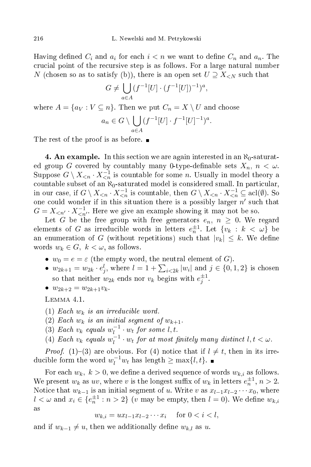Having defined  $C_i$  and  $a_i$  for each  $i < n$  we want to define  $C_n$  and  $a_n$ . The crucial point of the recursive step is as follows. For a large natural number N (chosen so as to satisfy (b)), there is an open set  $U \supseteq X_{\leq N}$  such that

$$
G \neq \bigcup_{a \in A} (f^{-1}[U] \cdot (f^{-1}[U])^{-1})^a,
$$

where  $A = \{a_V : V \subseteq n\}$ . Then we put  $C_n = X \setminus U$  and choose

$$
a_n \in G \setminus \bigcup_{a \in A} (f^{-1}[U] \cdot f^{-1}[U]^{-1})^a.
$$

The rest of the proof is as before.

**4. An example.** In this section we are again interested in an  $\aleph_0$ -saturated group G covered by countably many 0-type-definable sets  $X_n$ ,  $n < \omega$ . Suppose  $G \setminus X_{\leq n} \cdot X_{\leq n}^{-1}$  is countable for some n. Usually in model theory a countable subset of an  $\aleph_0$ -saturated model is considered small. In particular, in our case, if  $G \setminus X_{\leq n} \cdot X_{\leq n}^{-1}$  is countable, then  $G \setminus X_{\leq n} \cdot X_{\leq n}^{-1} \subseteq \text{acl}(\emptyset)$ . So one could wonder if in this situation there is a possibly larger  $n'$  such that  $G = X_{\leq n'} \cdot X_{\leq n'}^{-1}$ . Here we give an example showing it may not be so.

Let G be the free group with free generators  $e_n$ ,  $n \geq 0$ . We regard elements of G as irreducible words in letters  $e_n^{\pm 1}$ . Let  $\{v_k : k < \omega\}$  be an enumeration of  $G$  (without repetitions) such that  $|v_k| \leq k$ . We define words  $w_k \in G$ ,  $k < \omega$ , as follows.

- $w_0 = e = \varepsilon$  (the empty word, the neutral element of G).
- $w_{2k+1} = w_{2k} \cdot e_j^l$ , where  $l = 1 + \sum_{i \leq 2k} |w_i|$  and  $j \in \{0, 1, 2\}$  is chosen so that neither  $w_{2k}$  ends nor  $v_k$  begins with  $e_j^{\pm 1}$ .
- $w_{2k+2} = w_{2k+1}v_k$ .

Lemma 4.1.

- (1) Each  $w_k$  is an irreducible word.
- (2) Each  $w_k$  is an initial segment of  $w_{k+1}$ .
- (3) Each  $v_k$  equals  $w_l^{-1} \cdot w_t$  for some l, t.
- (4) Each  $v_k$  equals  $w_l^{-1} \cdot w_t$  for at most finitely many distinct  $l, t < \omega$ .

*Proof.* (1)–(3) are obvious. For (4) notice that if  $l \neq t$ , then in its irreducible form the word  $w_l^{-1}w_t$  has length  $\geq \max\{l, t\}.$ 

For each  $w_k$ ,  $k > 0$ , we define a derived sequence of words  $w_{k,i}$  as follows. We present  $w_k$  as  $uv$ , where v is the longest suffix of  $w_k$  in letters  $e_n^{\pm 1}$ ,  $n > 2$ . Notice that  $w_{k-1}$  is an initial segment of u. Write v as  $x_{l-1}x_{l-2}\cdots x_0$ , where  $l < \omega$  and  $x_i \in \{e_n^{\pm 1} : n > 2\}$  (v may be empty, then  $l = 0$ ). We define  $w_{k,i}$ as

$$
w_{k,i} = ux_{l-1}x_{l-2}\cdots x_i \quad \text{ for } 0 < i < l,
$$

and if  $w_{k-1} \neq u$ , then we additionally define  $w_{k,l}$  as u.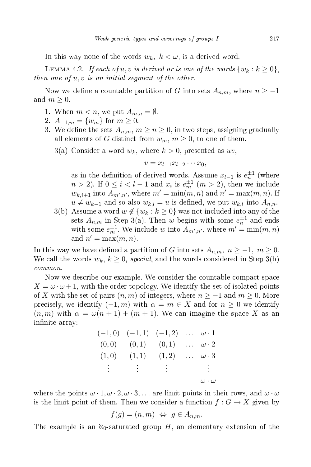In this way none of the words  $w_k$ ,  $k < \omega$ , is a derived word.

LEMMA 4.2. If each of u, v is derived or is one of the words  $\{w_k : k \geq 0\}$ , then one of  $u, v$  is an initial segment of the other.

Now we define a countable partition of G into sets  $A_{n,m}$ , where  $n \geq -1$ and  $m \geq 0$ .

- 1. When  $m < n$ , we put  $A_{m,n} = \emptyset$ .
- 2.  $A_{-1,m} = \{w_m\}$  for  $m \geq 0$ .
- 3. We define the sets  $A_{n,m}$ ,  $m \ge n \ge 0$ , in two steps, assigning gradually all elements of G distinct from  $w_m$ ,  $m \geq 0$ , to one of them.
	- 3(a) Consider a word  $w_k$ , where  $k > 0$ , presented as  $uv$ ,

$$
v = x_{l-1}x_{l-2}\cdots x_0,
$$

as in the definition of derived words. Assume  $x_{l-1}$  is  $e_n^{\pm 1}$  (where  $n > 2$ ). If  $0 \leq i < l - 1$  and  $x_i$  is  $e_m^{\pm 1}$   $(m > 2)$ , then we include  $w_{k,i+1}$  into  $A_{m',n'}$ , where  $m' = \min(m, n)$  and  $n' = \max(m, n)$ . If  $u \neq w_{k-1}$  and so also  $w_{k,l} = u$  is defined, we put  $w_{k,l}$  into  $A_{n,n}$ .

3(b) Assume a word  $w \notin \{w_k : k \geq 0\}$  was not included into any of the sets  $A_{n,m}$  in Step 3(a). Then w begins with some  $e_n^{\pm 1}$  and ends with some  $e_m^{\pm 1}$ . We include w into  $A_{m',n'}$ , where  $m' = \min(m, n)$ and  $n' = \max(m, n)$ .

In this way we have defined a partition of G into sets  $A_{n,m}$ ,  $n \geq -1$ ,  $m \geq 0$ . We call the words  $w_k$ ,  $k \geq 0$ , special, and the words considered in Step 3(b) ommon.

Now we describe our example. We consider the countable compact space  $X = \omega \cdot \omega + 1$ , with the order topology. We identify the set of isolated points of X with the set of pairs  $(n, m)$  of integers, where  $n \ge -1$  and  $m \ge 0$ . More precisely, we identify  $(-1, m)$  with  $\alpha = m \in X$  and for  $n \geq 0$  we identify  $(n, m)$  with  $\alpha = \omega(n + 1) + (m + 1)$ . We can imagine the space X as an infinite array:

|       | $(-1,0)$ $(-1,1)$ $(-1,2)$ $\omega \cdot 1$ |       |                         |
|-------|---------------------------------------------|-------|-------------------------|
|       | $(0,0)$ $(0,1)$ $(0,1)$ $\omega \cdot 2$    |       |                         |
| (1,0) | (1,1)                                       | (1,2) | $\ldots \omega \cdot 3$ |
|       | 医手术 医手术 医手术 医心包的                            |       |                         |
|       |                                             |       | $\omega\cdot\omega$     |

where the points  $\omega \cdot 1, \omega \cdot 2, \omega \cdot 3, \ldots$  are limit points in their rows, and  $\omega \cdot \omega$ is the limit point of them. Then we consider a function  $f : G \to X$  given by

$$
f(g) = (n, m) \Leftrightarrow g \in A_{n,m}.
$$

The example is an  $\aleph_0$ -saturated group H, an elementary extension of the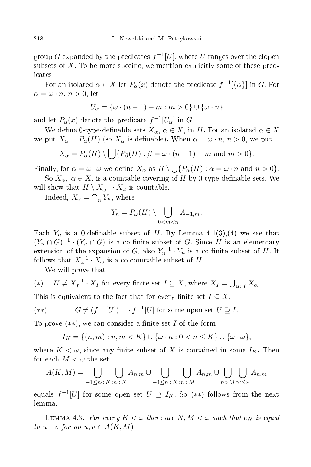$\operatorname{group} G$  expanded by the predicates  $f^{-1}[U],$  where  $U$  ranges over the clopen subsets of  $X$ . To be more specific, we mention explicitly some of these predi
ates.

For an isolated  $\alpha \in X$  let  $P_\alpha(x)$  denote the predicate  $f^{-1}[\{\alpha\}]$  in  $G.$  For  $\alpha = \omega \cdot n$ ,  $n > 0$ , let

$$
U_{\alpha} = \{ \omega \cdot (n-1) + m : m > 0 \} \cup \{ \omega \cdot n \}
$$

and let  $P_{\alpha}(x)$  denote the predicate  $f^{-1}[U_{\alpha}]$  in G.

We define 0-type-definable sets  $X_{\alpha}$ ,  $\alpha \in X$ , in H. For an isolated  $\alpha \in X$ we put  $X_{\alpha} = P_{\alpha}(H)$  (so  $X_{\alpha}$  is definable). When  $\alpha = \omega \cdot n, n > 0$ , we put

$$
X_{\alpha} = P_{\alpha}(H) \setminus \bigcup \{ P_{\beta}(H) : \beta = \omega \cdot (n-1) + m \text{ and } m > 0 \}.
$$

Finally, for  $\alpha = \omega \cdot \omega$  we define  $X_{\alpha}$  as  $H \setminus \bigcup \{P_{\alpha}(H) : \alpha = \omega \cdot n \text{ and } n > 0\}.$ 

So  $X_{\alpha}$ ,  $\alpha \in X$ , is a countable covering of H by 0-type-definable sets. We will show that  $H \setminus X_{\omega}^{-1} \cdot X_{\omega}$  is countable.

Indeed,  $X_{\omega} = \bigcap_n Y_n$ , where

$$
Y_n = P_{\omega}(H) \setminus \bigcup_{0 < m < n} A_{-1,m}.
$$

Each  $Y_n$  is a 0-definable subset of H. By Lemma 4.1(3), (4) we see that  $(Y_n \cap G)^{-1} \cdot (Y_n \cap G)$  is a co-finite subset of G. Since H is an elementary extension of the expansion of G, also  $Y_n^{-1} \cdot Y_n$  is a co-finite subset of H. It follows that  $X_{\omega}^{-1} \cdot X_{\omega}$  is a co-countable subset of H.

We will prove that

(\*) 
$$
H \neq X_I^{-1} \cdot X_I
$$
 for every finite set  $I \subseteq X$ , where  $X_I = \bigcup_{\alpha \in I} X_\alpha$ .

This is equivalent to the fact that for every finite set  $I \subseteq X$ ,

(\*\*) 
$$
G \neq (f^{-1}[U])^{-1} \cdot f^{-1}[U]
$$
 for some open set  $U \supseteq I$ .

To prove  $(**)$ , we can consider a finite set I of the form

$$
I_K = \{(n,m): n,m < K\} \cup \{\omega \cdot n: 0 < n \leq K\} \cup \{\omega \cdot \omega\},\
$$

where  $K < \omega$ , since any finite subset of X is contained in some  $I_K$ . Then for each  $M < \omega$  the set

$$
A(K,M) = \bigcup_{-1 \leq n < K} \bigcup_{m < K} A_{n,m} \cup \bigcup_{-1 \leq n < K} \bigcup_{m > M} A_{n,m} \cup \bigcup_{n > M} \bigcup_{m < \omega} A_{n,m}
$$

equals  $f^{-1}[U]$  for some open set  $U \supseteq I_K$ . So  $(**)$  follows from the next lemma.

LEMMA 4.3. For every  $K < \omega$  there are  $N, M < \omega$  such that  $e_N$  is equal to  $u^{-1}v$  for no  $u, v \in A(K, M)$ .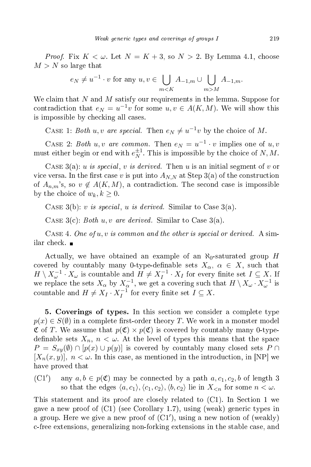*Proof.* Fix  $K < \omega$ . Let  $N = K + 3$ , so  $N > 2$ . By Lemma 4.1, choose  $M > N$  so large that

$$
e_N \neq u^{-1} \cdot v
$$
 for any  $u, v \in \bigcup_{m < K} A_{-1,m} \cup \bigcup_{m > M} A_{-1,m}$ .

We claim that  $N$  and  $M$  satisfy our requirements in the lemma. Suppose for contradiction that  $e_N = u^{-1}v$  for some  $u, v \in A(K, M)$ . We will show this is impossible by checking all cases.

CASE 1: Both u, v are special. Then  $e_N \neq u^{-1}v$  by the choice of M.

CASE 2: Both u, v are common. Then  $e_N = u^{-1} \cdot v$  implies one of u, v must either begin or end with  $e_N^{\pm 1}$ . This is impossible by the choice of N, M.

CASE  $3(a)$ : u is special, v is derived. Then u is an initial segment of v or vice versa. In the first case v is put into  $A_{N,N}$  at Step 3(a) of the construction of  $A_{n,m}$ 's, so  $v \notin A(K,M)$ , a contradiction. The second case is impossible by the choice of  $w_k, k \geq 0$ .

CASE  $3(b)$ : v is special, u is derived. Similar to Case  $3(a)$ .

CASE  $3(c)$ : Both u, v are derived. Similar to Case  $3(a)$ .

CASE 4. One of  $u, v$  is common and the other is special or derived. A similar check. ■

Actually, we have obtained an example of an  $\aleph_0$ -saturated group H covered by countably many 0-type-definable sets  $X_{\alpha}$ ,  $\alpha \in X$ , such that  $H \setminus X_\omega^{-1} \cdot X_\omega$  is countable and  $H \neq X_I^{-1} \cdot X_I$  for every finite set  $I \subseteq X$ . If we replace the sets  $X_{\alpha}$  by  $X_{\alpha}^{-1}$ , we get a covering such that  $H \setminus X_{\omega} \cdot X_{\omega}^{-1}$  is countable and  $H \neq X_I \cdot X_I^{-1}$  for every finite set  $I \subseteq X$ .

5. Coverings of types. In this section we consider a complete type  $p(x) \in S(\emptyset)$  in a complete first-order theory T. We work in a monster model  $\mathfrak C$  of T. We assume that  $p(\mathfrak C)\times p(\mathfrak C)$  is covered by countably many 0-typedefinable sets  $X_n$ ,  $n < \omega$ . At the level of types this means that the space  $P = S_{xy}(\emptyset) \cap [p(x) \cup p(y)]$  is covered by countably many closed sets  $P \cap$  $[X_n(x, y)], n < \omega$ . In this case, as mentioned in the introduction, in [NP] we have proved that

(C1 ′ any  $a, b \in p(\mathfrak{C})$  may be connected by a path  $a, c_1, c_2, b$  of length 3 so that the edges  $\langle a, c_1 \rangle, \langle c_1, c_2 \rangle, \langle b, c_2 \rangle$  lie in  $X_{\leq n}$  for some  $n < \omega$ .

This statement and its proof are closely related to  $(C1)$ . In Section 1 we gave a new proof of  $(C1)$  (see Corollary 1.7), using (weak) generic types in a group. Here we give a new proof of (C1 ′ ), using a new notion of (weakly) -free extensions, generalizing non-forking extensions in the stable ase, and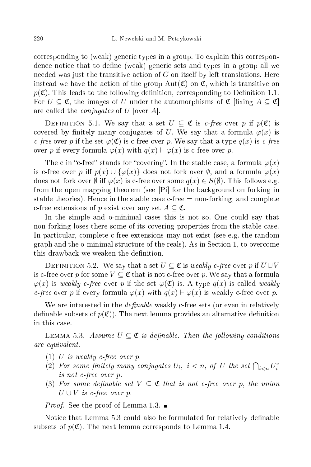orresponding to (weak) generi types in a group. To explain this orrespondence notice that to define (weak) generic sets and types in a group all we needed was just the transitive a
tion of G on itself by left translations. Here instead we have the action of the group  $Aut(\mathfrak{C})$  on  $\mathfrak{C}$ , which is transitive on  $p(\mathfrak{C})$ . This leads to the following definition, corresponding to Definition 1.1. For  $U \subseteq \mathfrak{C}$ , the images of U under the automorphisms of  $\mathfrak{C}$  [fixing  $A \subseteq \mathfrak{C}$ ] are called the *conjugates* of U [over A].

DEFINITION 5.1. We say that a set  $U \subseteq \mathfrak{C}$  is c-free over p if  $p(\mathfrak{C})$  is covered by finitely many conjugates of U. We say that a formula  $\varphi(x)$  is c-free over p if the set  $\varphi(\mathfrak{C})$  is c-free over p. We say that a type  $q(x)$  is c-free over p if every formula  $\varphi(x)$  with  $q(x) \vdash \varphi(x)$  is c-free over p.

The c in "c-free" stands for "covering". In the stable case, a formula  $\varphi(x)$ is c-free over p iff  $p(x) \cup {\varphi(x)}$  does not fork over  $\emptyset$ , and a formula  $\varphi(x)$ does not fork over  $\emptyset$  iff  $\varphi(x)$  is c-free over some  $q(x) \in S(\emptyset)$ . This follows e.g. from the open mapping theorem (see  $[P_i]$  for the background on forking in stable theories). Hence in the stable case  $c$ -free  $=$  non-forking, and complete c-free extensions of p exist over any set  $A \subset \mathfrak{C}$ .

In the simple and o-minimal cases this is not so. One could say that non-forking loses there some of its overing properties from the stable ase. In particular, complete c-free extensions may not exist (see e.g. the random graph and the o-minimal stru
ture of the reals). As in Se
tion 1, to over
ome this drawback we weaken the definition.

DEFINITION 5.2. We say that a set  $U \subseteq \mathfrak{C}$  is weakly c-free over p if  $U \cup V$ is c-free over p for some  $V \subseteq \mathfrak{C}$  that is not c-free over p. We say that a formula  $\varphi(x)$  is weakly c-free over p if the set  $\varphi(\mathfrak{C})$  is. A type  $q(x)$  is called weakly c-free over p if every formula  $\varphi(x)$  with  $q(x) \vdash \varphi(x)$  is weakly c-free over p.

We are interested in the *definable* weakly c-free sets (or even in relatively definable subsets of  $p(\mathfrak{C})$ . The next lemma provides an alternative definition in this ase.

LEMMA 5.3. Assume  $U \subseteq \mathfrak{C}$  is definable. Then the following conditions are equivalent.

- $(1)$  U is weakly c-free over p.
- (2) For some finitely many conjugates  $U_i$ ,  $i < n$ , of U the set  $\bigcap_{i < n} U_i^c$ is not c-free over p.
- (3) For some definable set  $V \subseteq \mathfrak{C}$  that is not c-free over p, the union  $U \cup V$  is c-free over p.

*Proof.* See the proof of Lemma 1.3.

Notice that Lemma 5.3 could also be formulated for relatively definable subsets of  $p(\mathfrak{C})$ . The next lemma corresponds to Lemma 1.4.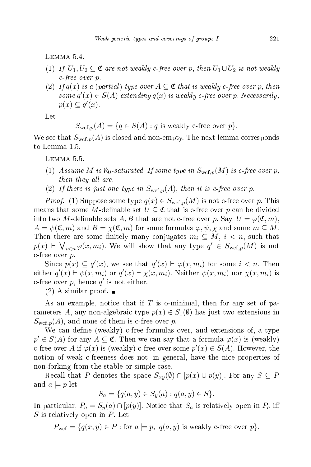LEMMA 5.4.

- (1) If  $U_1, U_2 \subseteq \mathfrak{C}$  are not weakly c-free over p, then  $U_1 \cup U_2$  is not weakly -free over p.
- (2) If  $q(x)$  is a (partial) type over  $A \subseteq \mathfrak{C}$  that is weakly c-free over p, then some  $q'(x) \in S(A)$  extending  $q(x)$  is weakly c-free over p. Necessarily,  $p(x) \subseteq q'(x)$ .

Let

$$
S_{\text{wcf},p}(A) = \{ q \in S(A) : q \text{ is weakly c-free over } p \}.
$$

We see that  $S_{\text{wcf},p}(A)$  is closed and non-empty. The next lemma corresponds to Lemma 1.5.

LEMMA 5.5.

- (1) Assume M is  $\aleph_0$ -saturated. If some type in  $S_{\text{wcf.}p}(M)$  is c-free over p, then they all are.
- (2) If there is just one type in  $S_{\text{wcf.}p}(A)$ , then it is c-free over p.

*Proof.* (1) Suppose some type  $q(x) \in S_{\text{wcf},p}(M)$  is not c-free over p. This means that some M-definable set  $U \subseteq \mathfrak{C}$  that is c-free over p can be divided into two M-definable sets A, B that are not c-free over p. Say,  $U = \varphi(\mathfrak{C}, m)$ ,  $A = \psi(\mathfrak{C}, m)$  and  $B = \chi(\mathfrak{C}, m)$  for some formulas  $\varphi, \psi, \chi$  and some  $m \subseteq M$ . Then there are some finitely many conjugates  $m_i \subseteq M$ ,  $i < n$ , such that  $p(x) \vdash \bigvee_{i \leq n} \varphi(x, m_i)$ . We will show that any type  $q' \in S_{\text{wcf},p}(M)$  is not c-free over  $p$ .

Since  $p(x) \subseteq q'(x)$ , we see that  $q'(x) \vdash \varphi(x, m_i)$  for some  $i < n$ . Then either  $q'(x) \vdash \psi(x, m_i)$  or  $q'(x) \vdash \chi(x, m_i)$ . Neither  $\psi(x, m_i)$  nor  $\chi(x, m_i)$  is c-free over  $p$ , hence  $q'$  is not either.

 $(2)$  A similar proof.  $\blacksquare$ 

As an example, notice that if T is o-minimal, then for any set of parameters A, any non-algebraic type  $p(x) \in S_1(\emptyset)$  has just two extensions in  $S_{\text{wcf},p}(A)$ , and none of them is c-free over p.

We can define (weakly) c-free formulas over, and extensions of, a type  $p' \in S(A)$  for any  $A \subseteq \mathfrak{C}$ . Then we can say that a formula  $\varphi(x)$  is (weakly) c-free over A if  $\varphi(x)$  is (weakly) c-free over some  $p'(x) \in S(A)$ . However, the notion of weak -freeness does not, in general, have the ni
e properties of non-forking from the stable or simple ase.

Recall that P denotes the space  $S_{xy}(\emptyset) \cap [p(x) \cup p(y)]$ . For any  $S \subseteq P$ and  $a \models p$  let

 $S_a = \{q(a, y) \in S_y(a) : q(a, y) \in S\}.$ 

In particular,  $P_a = S_y(a) \cap [p(y)]$ . Notice that  $S_a$  is relatively open in  $P_a$  iff  $S$  is relatively open in  $P$ . Let

$$
P_{\text{wcf}} = \{q(x, y) \in P : \text{for } a \models p, \ q(a, y) \text{ is weakly } c \text{-free over } p \}.
$$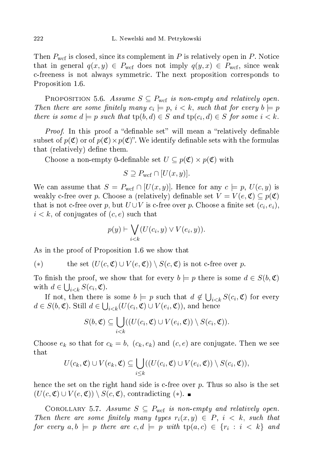Then  $P_{\text{wcf}}$  is closed, since its complement in P is relatively open in P. Notice that in general  $q(x, y) \in P_{\text{wcf}}$  does not imply  $q(y, x) \in P_{\text{wcf}}$ , since weak -freeness is not always symmetri
. The next proposition orresponds to Proposition 1.6.

PROPOSITION 5.6. Assume  $S \subseteq P_{\text{wcf}}$  is non-empty and relatively open. Then there are some finitely many  $c_i \models p, i \lt k$ , such that for every  $b \models p$ there is some  $d \models p$  such that  $tp(b, d) \in S$  and  $tp(c_i, d) \in S$  for some  $i < k$ .

*Proof.* In this proof a "definable set" will mean a "relatively definable subset of  $p(\mathfrak{C})$  or of  $p(\mathfrak{C})\times p(\mathfrak{C})$ . We identify definable sets with the formulas that (relatively) define them.

Choose a non-empty 0-definable set  $U\subseteq p(\mathfrak{C})\times p(\mathfrak{C})$  with

$$
S \supseteq P_{\text{wcf}} \cap [U(x, y)].
$$

We can assume that  $S = P_{\text{wcf}} \cap [U(x, y)]$ . Hence for any  $c \models p, U(c, y)$  is weakly c-free over p. Choose a (relatively) definable set  $V = V(e, \mathfrak{C}) \subseteq p(\mathfrak{C})$ that is not c-free over p, but  $U\cup V$  is c-free over p. Choose a finite set  $(c_i,e_i),$  $i < k$ , of conjugates of  $(c, e)$  such that

$$
p(y) \vdash \bigvee_{i < k} (U(c_i, y) \vee V(e_i, y)).
$$

As in the proof of Proposition 1.6 we show that

(\*) the set 
$$
(U(c, \mathfrak{C}) \cup V(e, \mathfrak{C})) \setminus S(c, \mathfrak{C})
$$
 is not c-free over p.

To finish the proof, we show that for every  $b \models p$  there is some  $d \in S(b, \mathfrak{C})$ with  $d \in \bigcup_{i \leq k} S(c_i, \mathfrak{C}).$ 

If not, then there is some  $b \models p$  such that  $d \notin \bigcup_{i \leq k} S(c_i, \mathfrak{C})$  for every  $d \in S(b, \mathfrak{C})$ . Still  $d \in \bigcup_{i < k} (U(c_i, \mathfrak{C}) \cup V(e_i, \mathfrak{C}))$ , and hence

$$
S(b, \mathfrak{C}) \subseteq \bigcup_{i < k} ((U(c_i, \mathfrak{C}) \cup V(e_i, \mathfrak{C})) \setminus S(c_i, \mathfrak{C})).
$$

Choose  $e_k$  so that for  $c_k = b$ ,  $(c_k, e_k)$  and  $(c, e)$  are conjugate. Then we see that

$$
U(c_k, \mathfrak{C}) \cup V(e_k, \mathfrak{C}) \subseteq \bigcup_{i \leq k} ((U(c_i, \mathfrak{C}) \cup V(e_i, \mathfrak{C})) \setminus S(c_i, \mathfrak{C})),
$$

hence the set on the right hand side is  $c$ -free over  $p$ . Thus so also is the set  $(U(c, \mathfrak{C}) \cup V(e, \mathfrak{C})) \setminus S(c, \mathfrak{C})$ , contradicting (\*). ■

COROLLARY 5.7. Assume  $S \subseteq P_{\text{wcf}}$  is non-empty and relatively open. Then there are some finitely many types  $r_i(x,y) \in P$ ,  $i \, < \, k$ , such that for every  $a,b \models p$  there are  $c,d \models p$  with  $tp(a,c) \in \{r_i \, : \, i \, < \, k\}$  and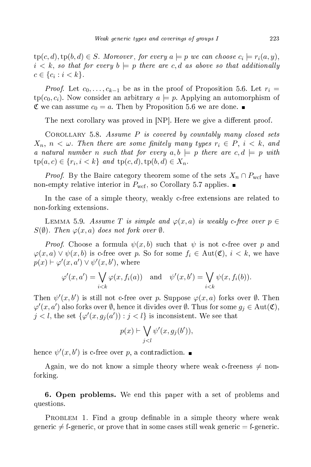$\text{tp}(c,d), \text{tp}(b,d) \in S$ . Moreover, for every  $a \models p$  we can choose  $c_i \models r_i(a,y),$  $i < k$ , so that for every  $b \models p$  there are c,d as above so that additionally  $c \in \{c_i : i < k\}.$ 

*Proof.* Let  $c_0, \ldots, c_{k-1}$  be as in the proof of Proposition 5.6. Let  $r_i =$  $tp(c_0, c_i)$ . Now consider an arbitrary  $a \models p$ . Applying an automorphism of  $\mathfrak{C}$  we can assume  $c_0 = a$ . Then by Proposition 5.6 we are done.

The next corollary was proved in [NP]. Here we give a different proof.

COROLLARY 5.8. Assume  $P$  is covered by countably many closed sets  $X_n$ ,  $n < \omega$ . Then there are some finitely many types  $r_i \in P$ ,  $i < k$ , and a natural number n such that for every  $a, b \models p$  there are  $c, d \models p$  with  $tp(a, c) \in \{r_i, i < k\}$  and  $tp(c, d), tp(b, d) \in X_n$ .

*Proof.* By the Baire category theorem some of the sets  $X_n \cap P_{\text{wcf}}$  have non-empty relative interior in  $P_{\text{wcf}}$ , so Corollary 5.7 applies.

In the case of a simple theory, weakly c-free extensions are related to non-forking extensions.

LEMMA 5.9. Assume T is simple and  $\varphi(x,a)$  is weakly c-free over  $p \in$  $S(\emptyset)$ . Then  $\varphi(x, a)$  does not fork over  $\emptyset$ .

*Proof.* Choose a formula  $\psi(x, b)$  such that  $\psi$  is not c-free over p and  $\varphi(x,a) \vee \psi(x,b)$  is c-free over p. So for some  $f_i \in \text{Aut}(\mathfrak{C}), i < k$ , we have  $p(x) \vdash \varphi'(x, a') \vee \psi'(x, b'),$  where

$$
\varphi'(x, a') = \bigvee_{i < k} \varphi(x, f_i(a)) \quad \text{and} \quad \psi'(x, b') = \bigvee_{i < k} \psi(x, f_i(b)).
$$

Then  $\psi'(x, b')$  is still not c-free over p. Suppose  $\varphi(x, a)$  forks over  $\emptyset$ . Then  $\varphi'(x,a')$  also forks over  $\emptyset$ , hence it divides over  $\emptyset$ . Thus for some  $g_j \in \operatorname{Aut}(\mathfrak{C}),$  $j < l$ , the set  $\{\varphi'(x, g_j(a')) : j < l\}$  is inconsistent. We see that

$$
p(x) \vdash \bigvee_{j < l} \psi'(x, g_j(b')),
$$

hence  $\psi'(x, b')$  is c-free over p, a contradiction.

Again, we do not know a simple theory where weak c-freeness  $\neq$  nonforking.

6. Open problems. We end this paper with a set of problems and questions.

PROBLEM 1. Find a group definable in a simple theory where weak generic  $\neq$  f-generic, or prove that in some cases still weak generic  $=$  f-generic.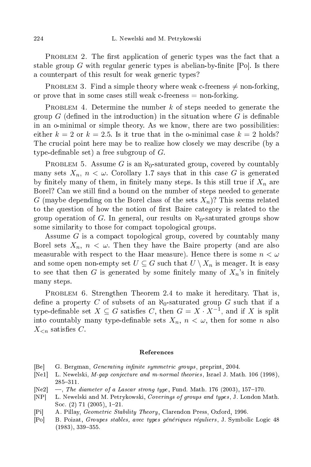PROBLEM 2. The first application of generic types was the fact that a stable group G with regular generic types is abelian-by-finite  $[P_0]$ . Is there a counterpart of this result for weak generic types?

PROBLEM 3. Find a simple theory where weak c-freeness  $\neq$  non-forking, or prove that in some cases still weak  $c$ -freeness  $=$  non-forking.

PROBLEM 4. Determine the number  $k$  of steps needed to generate the group  $G$  (defined in the introduction) in the situation where  $G$  is definable in an o-minimal or simple theory. As we know, there are two possibilities: either  $k = 2$  or  $k = 2.5$ . Is it true that in the o-minimal case  $k = 2$  holds? The crucial point here may be to realize how closely we may describe (by a type-definable set) a free subgroup of  $G$ .

PROBLEM 5. Assume G is an  $\aleph_0$ -saturated group, covered by countably many sets  $X_n$ ,  $n < \omega$ . Corollary 1.7 says that in this case G is generated by finitely many of them, in finitely many steps. Is this still true if  $X_n$  are Borel? Can we still find a bound on the number of steps needed to generate G (maybe depending on the Borel class of the sets  $X_n$ )? This seems related to the question of how the notion of first Baire category is related to the group operation of G. In general, our results on  $\aleph_0$ -saturated groups show some similarity to those for compact topological groups.

Assume G is a compact topological group, covered by countably many Borel sets  $X_n$ ,  $n < \omega$ . Then they have the Baire property (and are also measurable with respect to the Haar measure). Hence there is some  $n < \omega$ and some open non-empty set  $U\subseteq G$  such that  $U\setminus X_n$  is meager. It is easy to see that then G is generated by some finitely many of  $X_n$ 's in finitely many steps.

PROBLEM 6. Strengthen Theorem 2.4 to make it hereditary. That is, define a property C of subsets of an  $\aleph_0$ -saturated group G such that if a type-definable set  $X \subseteq G$  satisfies C, then  $G = X \cdot X^{-1}$ , and if X is split into countably many type-definable sets  $X_n$ ,  $n < \omega$ , then for some n also  $X_{\leq n}$  satisfies C.

## Referen
es

- [Be] G. Bergman, *Generating infinite symmetric groups*, preprint, 2004.
- [Ne1] L. Newelski, M-qap conjecture and m-normal theories, Israel J. Math. 106 (1998), 285311.
- [Ne2]  $-$ , The diameter of a Lascar strong type, Fund. Math. 176 (2003), 157-170.
- [NP L. Newelski and M. Petrykowski, Coverings of groups and types, J. London Math. Soc.  $(2)$  71  $(2005)$ , 1-21.
- [Pi] A. Pillay, *Geometric Stability Theory*, Clarendon Press, Oxford, 1996.
- [Po] B. Poizat, Groupes stables, avec types génériques réguliers, J. Symbolic Logic 48  $(1983), 339 - 355.$